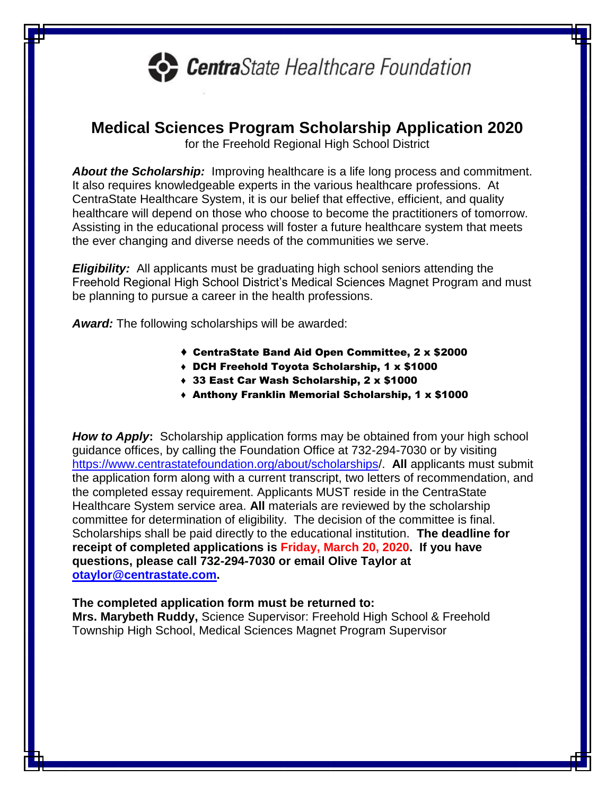

## **Medical Sciences Program Scholarship Application 2020**

for the Freehold Regional High School District

*About the Scholarship:* Improving healthcare is a life long process and commitment. It also requires knowledgeable experts in the various healthcare professions. At CentraState Healthcare System, it is our belief that effective, efficient, and quality healthcare will depend on those who choose to become the practitioners of tomorrow. Assisting in the educational process will foster a future healthcare system that meets the ever changing and diverse needs of the communities we serve.

*Eligibility:* All applicants must be graduating high school seniors attending the Freehold Regional High School District's Medical Sciences Magnet Program and must be planning to pursue a career in the health professions.

*Award:* The following scholarships will be awarded:

- ♦ CentraState Band Aid Open Committee, 2 x \$2000
- ♦ DCH Freehold Toyota Scholarship, 1 x \$1000
- ♦ 33 East Car Wash Scholarship, 2 x \$1000
- ♦ Anthony Franklin Memorial Scholarship, 1 x \$1000

*How to Apply***:** Scholarship application forms may be obtained from your high school guidance offices, by calling the Foundation Office at 732-294-7030 or by visiting <https://www.centrastatefoundation.org/about/scholarships/>. **All** applicants must submit the application form along with a current transcript, two letters of recommendation, and the completed essay requirement. Applicants MUST reside in the CentraState Healthcare System service area. **All** materials are reviewed by the scholarship committee for determination of eligibility. The decision of the committee is final. Scholarships shall be paid directly to the educational institution. **The deadline for receipt of completed applications is Friday, March 20, 2020. If you have questions, please call 732-294-7030 or email Olive Taylor at [otaylor@centrastate.com.](mailto:otaylor@centrastate.com)** 

## **The completed application form must be returned to:**

**Mrs. Marybeth Ruddy,** Science Supervisor: Freehold High School & Freehold Township High School, Medical Sciences Magnet Program Supervisor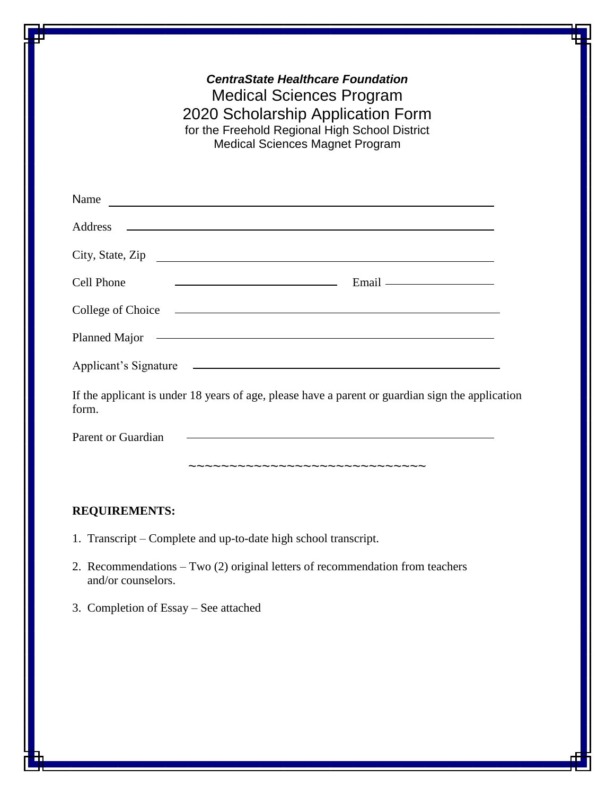| <b>CentraState Healthcare Foundation</b><br><b>Medical Sciences Program</b><br>2020 Scholarship Application Form<br>for the Freehold Regional High School District<br><b>Medical Sciences Magnet Program</b> |
|--------------------------------------------------------------------------------------------------------------------------------------------------------------------------------------------------------------|
| Name $\overline{\phantom{a}}$                                                                                                                                                                                |
| <u> 1989 - Johann Harry Harry Harry Harry Harry Harry Harry Harry Harry Harry Harry Harry Harry Harry Harry Harry</u><br>Address                                                                             |
| City, State, Zip                                                                                                                                                                                             |
| Cell Phone                                                                                                                                                                                                   |
| College of Choice <u>experience</u>                                                                                                                                                                          |
|                                                                                                                                                                                                              |
| Applicant's Signature                                                                                                                                                                                        |
| If the applicant is under 18 years of age, please have a parent or guardian sign the application<br>form.                                                                                                    |
| <u> 1989 - Johann Harry Harry Harry Harry Harry Harry Harry Harry Harry Harry Harry Harry Harry Harry Harry Harry</u><br>Parent or Guardian                                                                  |
| -~~~~~~~~~~~~~~~~~~~~~~~~                                                                                                                                                                                    |

## **REQUIREMENTS:**

- 1. Transcript Complete and up-to-date high school transcript.
- 2. Recommendations Two (2) original letters of recommendation from teachers and/or counselors.
- 3. Completion of Essay See attached